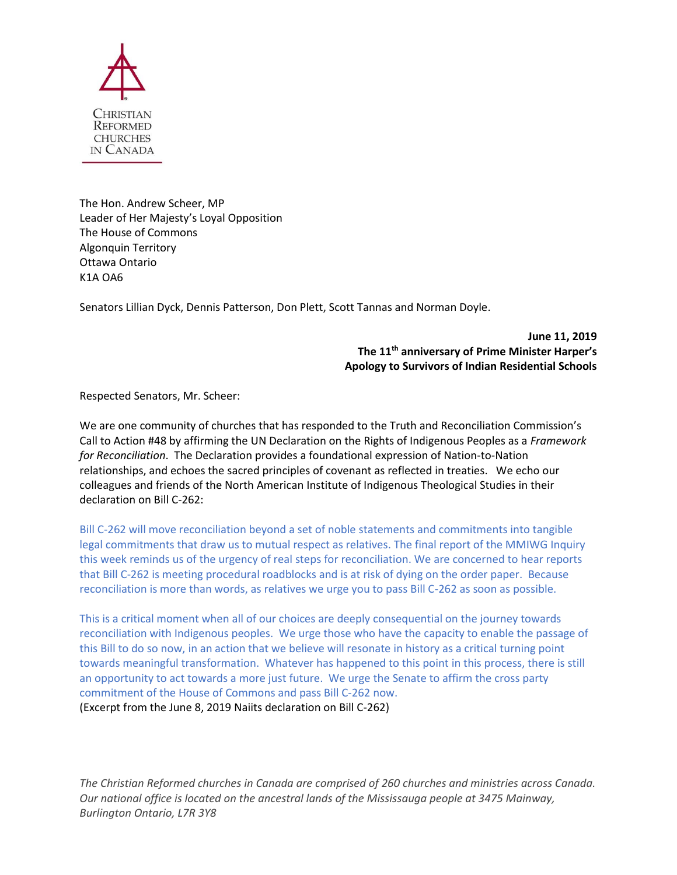

The Hon. Andrew Scheer, MP Leader of Her Majesty's Loyal Opposition The House of Commons Algonquin Territory Ottawa Ontario K1A OA6

Senators Lillian Dyck, Dennis Patterson, Don Plett, Scott Tannas and Norman Doyle.

**June 11, 2019 The 11th anniversary of Prime Minister Harper's Apology to Survivors of Indian Residential Schools**

Respected Senators, Mr. Scheer:

We are one community of churches that has responded to the Truth and Reconciliation Commission's Call to Action #48 by affirming the UN Declaration on the Rights of Indigenous Peoples as a *Framework for Reconciliation*. The Declaration provides a foundational expression of Nation-to-Nation relationships, and echoes the sacred principles of covenant as reflected in treaties. We echo our colleagues and friends of the North American Institute of Indigenous Theological Studies in their declaration on Bill C-262:

Bill C-262 will move reconciliation beyond a set of noble statements and commitments into tangible legal commitments that draw us to mutual respect as relatives. The final report of the MMIWG Inquiry this week reminds us of the urgency of real steps for reconciliation. We are concerned to hear reports that Bill C-262 is meeting procedural roadblocks and is at risk of dying on the order paper. Because reconciliation is more than words, as relatives we urge you to pass Bill C-262 as soon as possible.

This is a critical moment when all of our choices are deeply consequential on the journey towards reconciliation with Indigenous peoples. We urge those who have the capacity to enable the passage of this Bill to do so now, in an action that we believe will resonate in history as a critical turning point towards meaningful transformation. Whatever has happened to this point in this process, there is still an opportunity to act towards a more just future. We urge the Senate to affirm the cross party commitment of the House of Commons and pass Bill C-262 now. (Excerpt from the June 8, 2019 Naiits declaration on Bill C-262)

*The Christian Reformed churches in Canada are comprised of 260 churches and ministries across Canada. Our national office is located on the ancestral lands of the Mississauga people at 3475 Mainway, Burlington Ontario, L7R 3Y8*